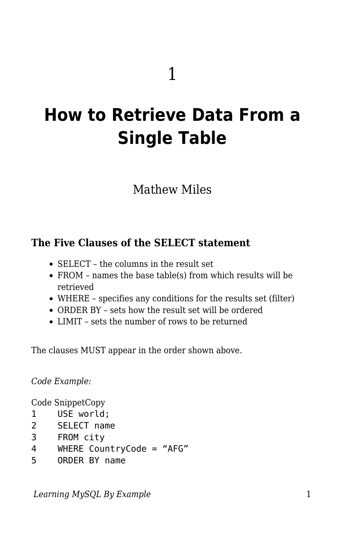# **How to Retrieve Data From a Single Table**

# Mathew Miles

## **The Five Clauses of the SELECT statement**

- SELECT the columns in the result set
- FROM names the base table(s) from which results will be retrieved
- WHERE specifies any conditions for the results set (filter)
- ORDER BY sets how the result set will be ordered
- LIMIT sets the number of rows to be returned

The clauses MUST appear in the order shown above.

*Code Example:*

Code SnippetCopy

- 1 USE world;
- 2 SELECT name
- 3 FROM city
- 4 WHERE CountryCode = "AFG"
- 5 ORDER BY name

*Learning MySQL By Example* 1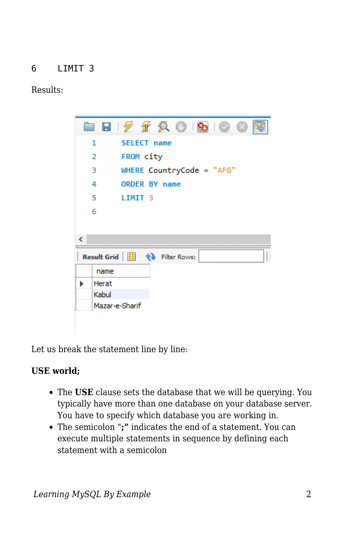### $6$  LIMIT 3

#### Results:



Let us break the statement line by line:

#### **USE world;**

- The **USE** clause sets the database that we will be querying. You typically have more than one database on your database server. You have to specify which database you are working in.
- The semicolon "**;"** indicates the end of a statement. You can execute multiple statements in sequence by defining each statement with a semicolon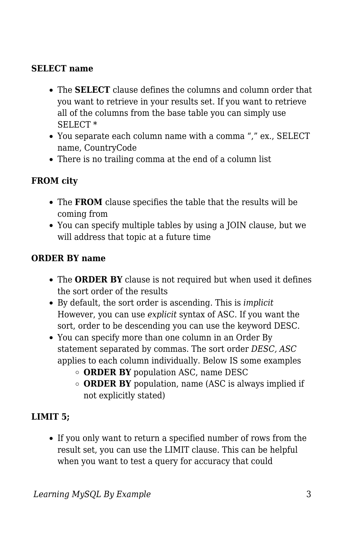#### **SELECT name**

- The **SELECT** clause defines the columns and column order that you want to retrieve in your results set. If you want to retrieve all of the columns from the base table you can simply use SELECT \*
- You separate each column name with a comma "," ex., SELECT name, CountryCode
- There is no trailing comma at the end of a column list

#### **FROM city**

- The **FROM** clause specifies the table that the results will be coming from
- You can specify multiple tables by using a JOIN clause, but we will address that topic at a future time

#### **ORDER BY name**

- The **ORDER BY** clause is not required but when used it defines the sort order of the results
- By default, the sort order is ascending. This is *implicit* However, you can use *explicit* syntax of ASC. If you want the sort, order to be descending you can use the keyword DESC.
- You can specify more than one column in an Order By statement separated by commas. The sort order *DESC, ASC* applies to each column individually. Below IS some examples
	- **ORDER BY** population ASC, name DESC
	- **ORDER BY** population, name (ASC is always implied if not explicitly stated)

## **LIMIT 5;**

If you only want to return a specified number of rows from the result set, you can use the LIMIT clause. This can be helpful when you want to test a query for accuracy that could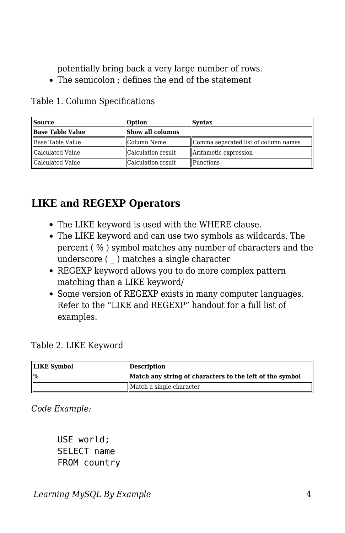potentially bring back a very large number of rows.

The semicolon ; defines the end of the statement

| <b>Source</b>    | Option                  | Syntax                               |  |
|------------------|-------------------------|--------------------------------------|--|
| Base Table Value | <b>Show all columns</b> |                                      |  |
| Base Table Value | Column Name             | Comma separated list of column names |  |
| Calculated Value | Calculation result      | Arithmetic expression                |  |
| Calculated Value | Calculation result      | <b>IFunctions</b>                    |  |

Table 1. Column Specifications

## **LIKE and REGEXP Operators**

- The LIKE keyword is used with the WHERE clause.
- The LIKE keyword and can use two symbols as wildcards. The percent ( % ) symbol matches any number of characters and the underscore ( ) matches a single character
- REGEXP keyword allows you to do more complex pattern matching than a LIKE keyword/
- Some version of REGEXP exists in many computer languages. Refer to the "LIKE and REGEXP" handout for a full list of examples.

Table 2. LIKE Keyword

| <b>LIKE Symbol</b> | <b>Description</b>                                       |  |
|--------------------|----------------------------------------------------------|--|
| $\frac{9}{6}$      | Match any string of characters to the left of the symbol |  |
| IL.                | Match a single character                                 |  |

*Code Example:*

USE world; SELECT name FROM country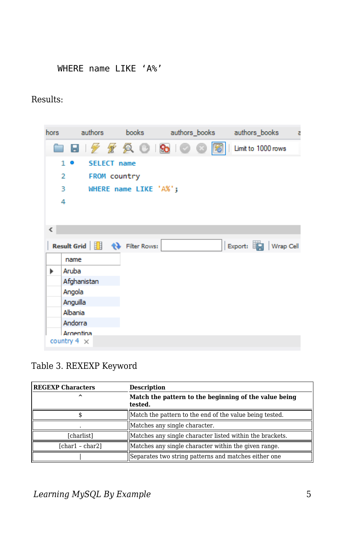### WHERE name LIKE 'A%'

#### Results:

| hors |                                 |                                      | authors books authors_books | authors_books<br>ā |
|------|---------------------------------|--------------------------------------|-----------------------------|--------------------|
|      |                                 |                                      |                             | Limit to 1000 rows |
|      | 1 ●                             | <b>SELECT name</b>                   |                             |                    |
|      | 2                               | FROM country                         |                             |                    |
|      | з                               | WHERE name LIKE 'A%';                |                             |                    |
|      | 4                               |                                      |                             |                    |
|      |                                 |                                      |                             |                    |
| ∢    |                                 |                                      |                             |                    |
|      |                                 | Result Grid             Filter Rows: |                             |                    |
|      | name                            |                                      |                             |                    |
| ь    | Aruba                           |                                      |                             |                    |
|      | Afghanistan                     |                                      |                             |                    |
|      | Angola                          |                                      |                             |                    |
|      | Anguilla                        |                                      |                             |                    |
|      | Albania                         |                                      |                             |                    |
|      | Andorra                         |                                      |                             |                    |
|      | Argentina<br>country $4 \times$ |                                      |                             |                    |

## Table 3. REXEXP Keyword

| <b>REGEXP Characters</b> | <b>Description</b>                                               |  |
|--------------------------|------------------------------------------------------------------|--|
| $\hat{\phantom{a}}$      | Match the pattern to the beginning of the value being<br>tested. |  |
|                          | Match the pattern to the end of the value being tested.          |  |
|                          | Matches any single character.                                    |  |
| [charlist]               | Matches any single character listed within the brackets.         |  |
| $[char1 - char2]$        | Matches any single character within the given range.             |  |
|                          | Separates two string patterns and matches either one             |  |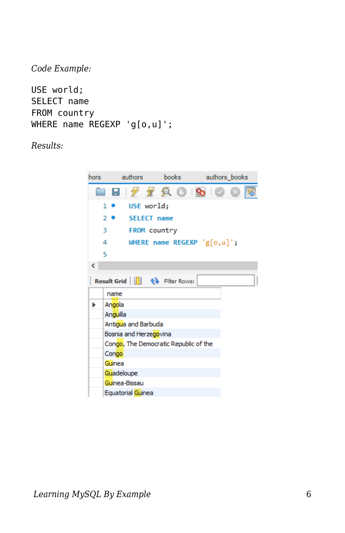*Code Example:*

USE world; SELECT name FROM country WHERE name REGEXP 'g[o,u]';

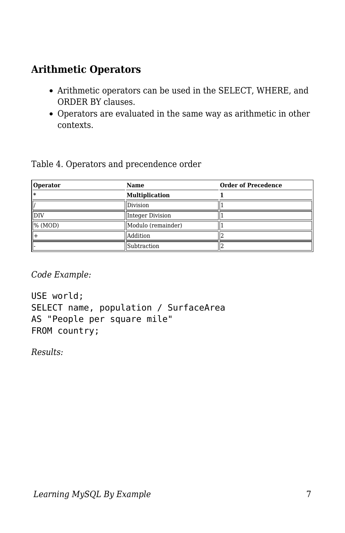## **Arithmetic Operators**

- Arithmetic operators can be used in the SELECT, WHERE, and ORDER BY clauses.
- Operators are evaluated in the same way as arithmetic in other contexts.

| $0 - 1 - 1$ |  | $\mathbf{X}$ $\mathbf{Y}$ and $\mathbf{Y}$ | 0.1 |
|-------------|--|--------------------------------------------|-----|
|             |  |                                            |     |
|             |  | Table 1. Operators and precentioned order  |     |

Table 4. Operators and precendence order

| Operator          | Name                  | <b>Order of Precedence</b> |
|-------------------|-----------------------|----------------------------|
| l*                | <b>Multiplication</b> |                            |
| <b>Division</b>   |                       |                            |
| DIV               | Integer Division      |                            |
| $\%$ (MOD)        | Modulo (remainder)    |                            |
| ll 4              | Addition              |                            |
| Subtraction<br>ı. |                       |                            |

*Code Example:*

```
USE world;
SELECT name, population / SurfaceArea
AS "People per square mile"
FROM country;
```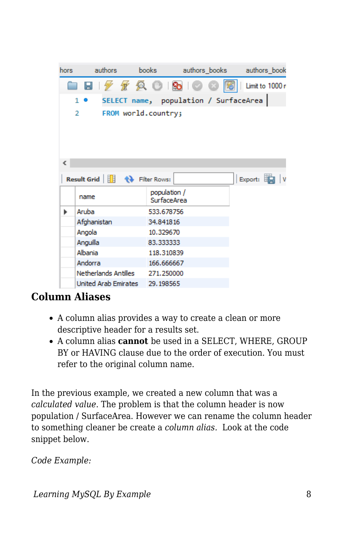| hors | authors                                                                           | books and the books of the set | authors books                         | authors book    |
|------|-----------------------------------------------------------------------------------|--------------------------------|---------------------------------------|-----------------|
|      | $\boxplus$ $\cancel{f}$ $\cancel{f}$ $\cancel{\otimes}$ $\odot$ $\boxdot$ $\odot$ |                                |                                       | Limit to 1000 r |
|      | $\mathbf{1}$                                                                      |                                | SELECT name, population / SurfaceArea |                 |
|      | 2<br>FROM world.country;                                                          |                                |                                       |                 |
|      |                                                                                   |                                |                                       |                 |
|      |                                                                                   |                                |                                       |                 |
|      |                                                                                   |                                |                                       |                 |
| Ł    |                                                                                   |                                |                                       |                 |
|      | Result Grid               Filter Rows:                                            |                                |                                       | Export:         |
|      | name                                                                              | population /<br>SurfaceArea    |                                       |                 |
| ь    | Aruba                                                                             | 533.678756                     |                                       |                 |
|      | Afghanistan                                                                       | 34.841816                      |                                       |                 |
|      | Angola                                                                            | 10.329670                      |                                       |                 |
|      | Anguilla                                                                          | 83.333333                      |                                       |                 |
|      | Albania                                                                           | 118.310839                     |                                       |                 |
|      | Andorra                                                                           | 166.666667                     |                                       |                 |
|      | Netherlands Antilles                                                              | 271.250000                     |                                       |                 |
|      | United Arab Emirates                                                              | 29.198565                      |                                       |                 |

## **Column Aliases**

- A column alias provides a way to create a clean or more descriptive header for a results set.
- A column alias **cannot** be used in a SELECT, WHERE, GROUP BY or HAVING clause due to the order of execution. You must refer to the original column name.

In the previous example, we created a new column that was a *calculated value*. The problem is that the column header is now population / SurfaceArea. However we can rename the column header to something cleaner be create a *column alias.* Look at the code snippet below.

*Code Example:*

*Learning MySQL By Example* 8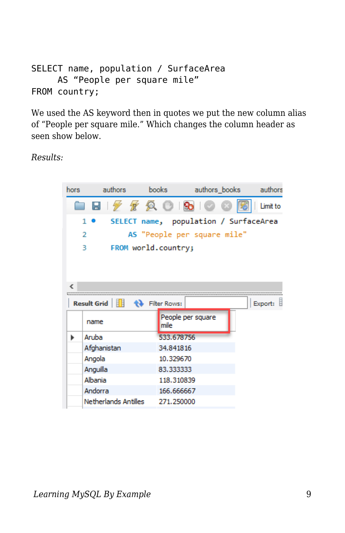```
SELECT name, population / SurfaceArea
      AS "People per square mile"
FROM country;
```
We used the AS keyword then in quotes we put the new column alias of "People per square mile." Which changes the column header as seen show below.

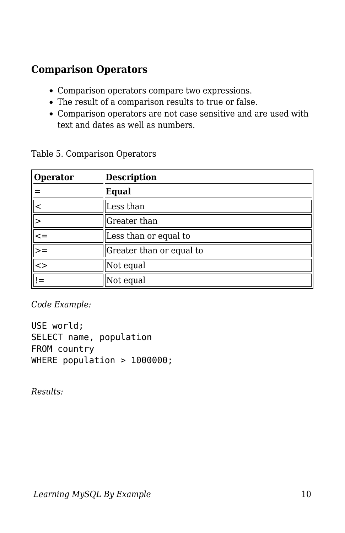## **Comparison Operators**

- Comparison operators compare two expressions.
- The result of a comparison results to true or false.
- Comparison operators are not case sensitive and are used with text and dates as well as numbers.

| Operator       | <b>Description</b>       |  |
|----------------|--------------------------|--|
|                | Equal                    |  |
| <              | Less than                |  |
|                | <b>Greater</b> than      |  |
| $\leq$ $=$     | Less than or equal to    |  |
| $>=$           | Greater than or equal to |  |
| $\overline{~}$ | Not equal                |  |
| $!=$           | Not equal                |  |

Table 5. Comparison Operators

*Code Example:*

USE world; SELECT name, population FROM country WHERE population > 1000000;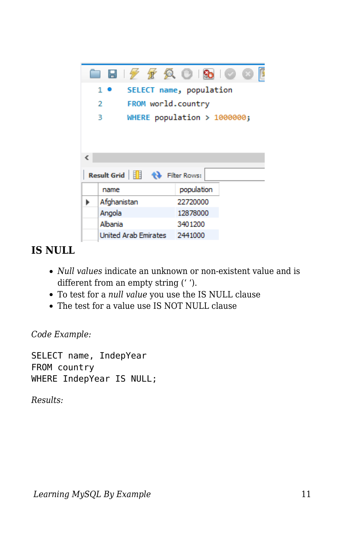

## **IS NULL**

- *Null values* indicate an unknown or non-existent value and is different from an empty string (' ').
- To test for a *null value* you use the IS NULL clause
- The test for a value use IS NOT NULL clause

*Code Example:*

SELECT name, IndepYear FROM country WHERE IndepYear IS NULL;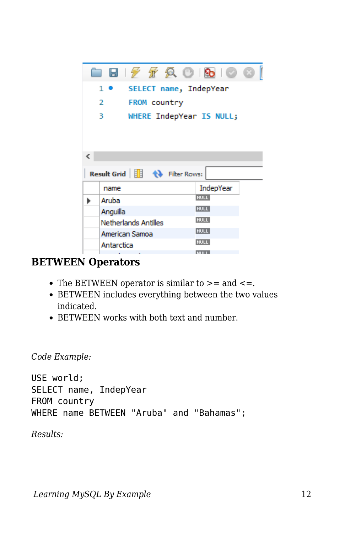

## **BETWEEN Operators**

- The BETWEEN operator is similar to  $>=$  and  $<=$ .
- BETWEEN includes everything between the two values indicated.
- BETWEEN works with both text and number.

*Code Example:*

USE world; SELECT name, IndepYear FROM country WHERE name BETWEEN "Aruba" and "Bahamas";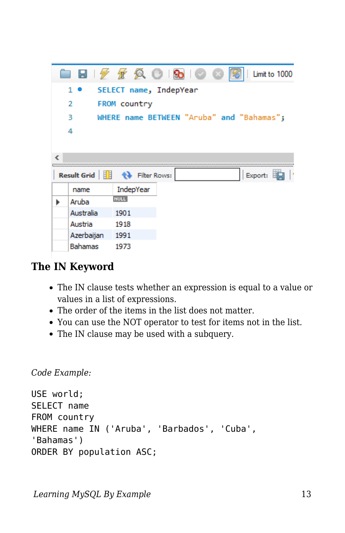

# **The IN Keyword**

- The IN clause tests whether an expression is equal to a value or values in a list of expressions.
- The order of the items in the list does not matter.
- You can use the NOT operator to test for items not in the list.
- The IN clause may be used with a subquery.

```
Code Example:
```

```
USE world;
SELECT name
FROM country
WHERE name IN ('Aruba', 'Barbados', 'Cuba',
'Bahamas')
ORDER BY population ASC;
```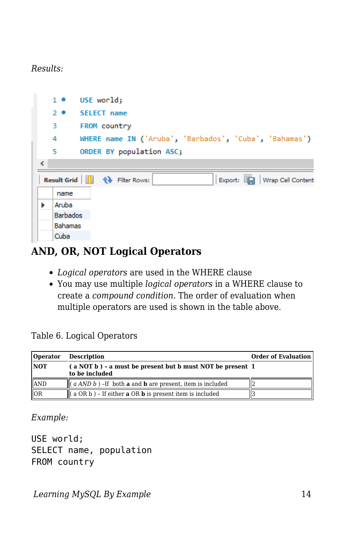#### *Results:*



## **AND, OR, NOT Logical Operators**

- *Logical operators* are used in the WHERE clause
- You may use multiple *logical operators* in a WHERE clause to create a *compound condition*. The order of evaluation when multiple operators are used is shown in the table above.

#### Table 6. Logical Operators

| <b>Operator</b> | <b>Description</b>                                                                                                         | <b>Order of Evaluation</b> |
|-----------------|----------------------------------------------------------------------------------------------------------------------------|----------------------------|
| <b>NOT</b>      | (a NOT b) - a must be present but b must NOT be present 1<br>to be included                                                |                            |
| AND             | $\left\  \begin{array}{c} a \, AND \, b \end{array} \right\ $ -If both <b>a</b> and <b>b</b> are present, item is included |                            |
| OR              | $\ $ (a OR b) – If either a OR <b>b</b> is present item is included                                                        |                            |

#### *Example:*

USE world; SELECT name, population FROM country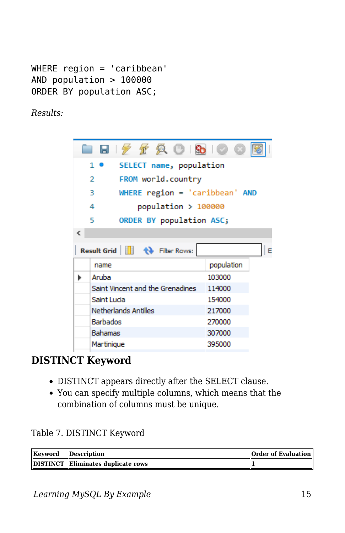```
WHERE region = 'caribbean'
AND population > 100000
ORDER BY population ASC;
```
*Results:*



## **DISTINCT Keyword**

- DISTINCT appears directly after the SELECT clause.
- You can specify multiple columns, which means that the combination of columns must be unique.

#### Table 7. DISTINCT Keyword

| <b>Keyword</b> Description         | <b>Order of Evaluation</b> |
|------------------------------------|----------------------------|
| DISTINCT Eliminates duplicate rows |                            |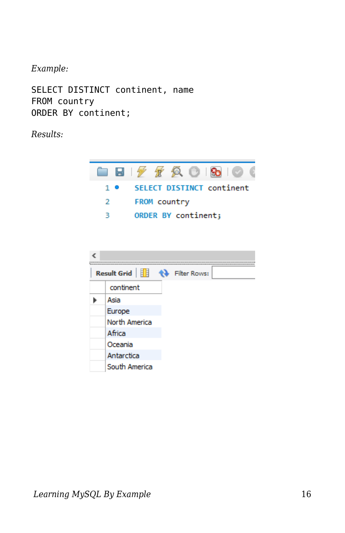*Example:*

SELECT DISTINCT continent, name FROM country ORDER BY continent;



| Result Grid               Filter Rows: |  |  |
|----------------------------------------|--|--|
| continent                              |  |  |
| Asia                                   |  |  |
| Europe                                 |  |  |
| North America                          |  |  |
| Africa                                 |  |  |
| Oceania                                |  |  |
| Antarctica                             |  |  |
| South America                          |  |  |